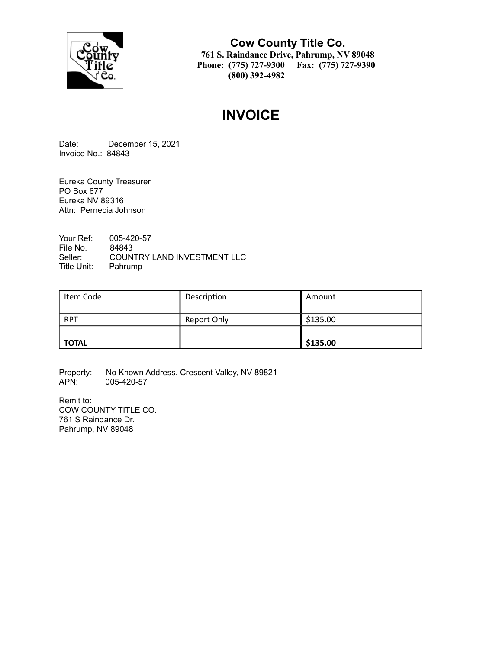

**Cow County Title Co. 761 S. Raindance Drive, Pahrump, NV 89048 Phone: (775) 727-9300 Fax: (775) 727-9390 (800) 392-4982**

# **INVOICE**

Date: December 15, 2021 Invoice No.: 84843

Eureka County Treasurer PO Box 677 Eureka NV 89316 Attn: Pernecia Johnson

Your Ref: 005-420-57 File No. 84843<br>Seller: COUN COUNTRY LAND INVESTMENT LLC Title Unit: Pahrump

| Item Code    | Description | Amount   |
|--------------|-------------|----------|
| <b>RPT</b>   | Report Only | \$135.00 |
| <b>TOTAL</b> |             | \$135.00 |

Property: No Known Address, Crescent Valley, NV 89821<br>APN: 005-420-57 005-420-57

Remit to: COW COUNTY TITLE CO. 761 S Raindance Dr. Pahrump, NV 89048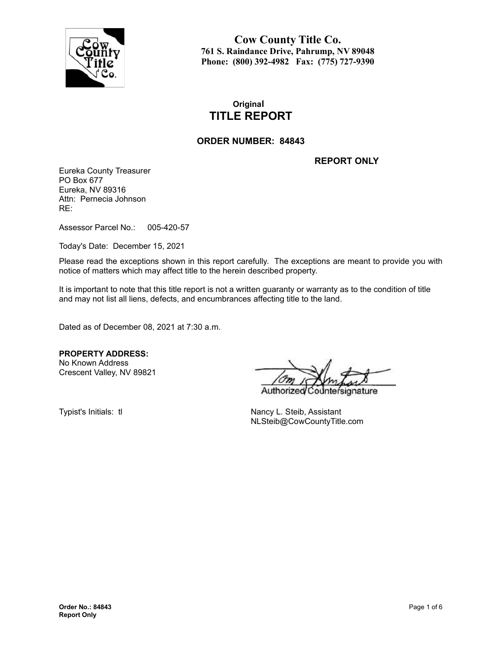

**Cow County Title Co. 761 S. Raindance Drive, Pahrump, NV 89048 Phone: (800) 392-4982 Fax: (775) 727-9390**

# **Original TITLE REPORT**

### **ORDER NUMBER: 84843**

**REPORT ONLY**

Eureka County Treasurer PO Box 677 Eureka, NV 89316 Attn: Pernecia Johnson RE:

Assessor Parcel No.: 005-420-57

Today's Date: December 15, 2021

Please read the exceptions shown in this report carefully. The exceptions are meant to provide you with notice of matters which may affect title to the herein described property.

It is important to note that this title report is not a written guaranty or warranty as to the condition of title and may not list all liens, defects, and encumbrances affecting title to the land.

Dated as of December 08, 2021 at 7:30 a.m.

**PROPERTY ADDRESS:** No Known Address Crescent Valley, NV 89821

Authorize nature

Typist's Initials: tl Nancy L. Steib, Assistant NLSteib@CowCountyTitle.com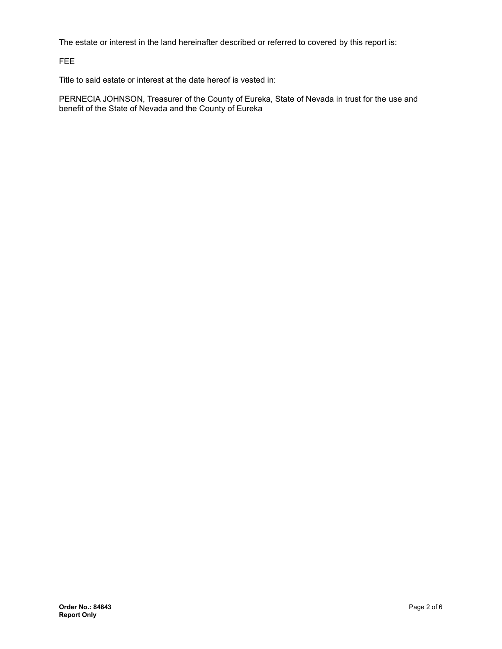The estate or interest in the land hereinafter described or referred to covered by this report is:

FEE

Title to said estate or interest at the date hereof is vested in:

PERNECIA JOHNSON, Treasurer of the County of Eureka, State of Nevada in trust for the use and benefit of the State of Nevada and the County of Eureka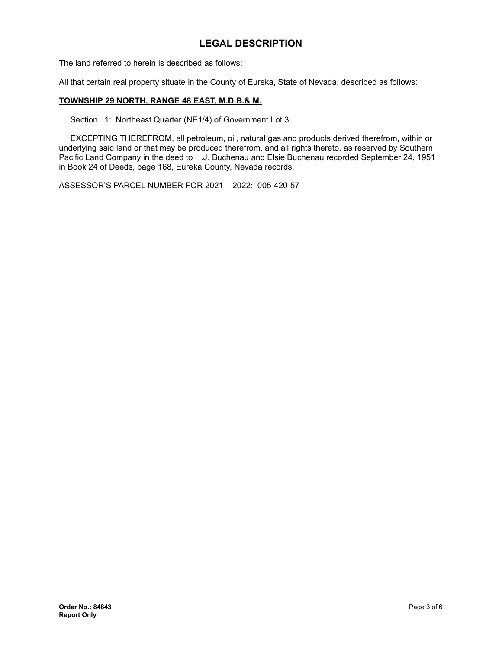# **LEGAL DESCRIPTION**

The land referred to herein is described as follows:

All that certain real property situate in the County of Eureka, State of Nevada, described as follows:

#### **TOWNSHIP 29 NORTH, RANGE 48 EAST, M.D.B.& M.**

Section 1: Northeast Quarter (NE1/4) of Government Lot 3

EXCEPTING THEREFROM, all petroleum, oil, natural gas and products derived therefrom, within or underlying said land or that may be produced therefrom, and all rights thereto, as reserved by Southern Pacific Land Company in the deed to H.J. Buchenau and Elsie Buchenau recorded September 24, 1951 in Book 24 of Deeds, page 168, Eureka County, Nevada records.

ASSESSOR'S PARCEL NUMBER FOR 2021 – 2022: 005-420-57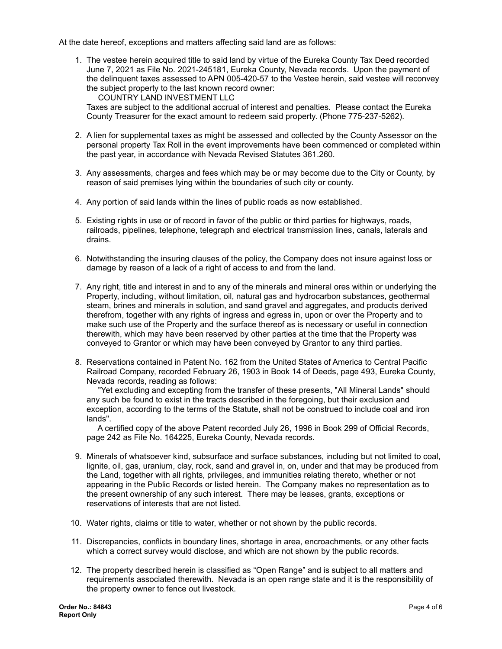At the date hereof, exceptions and matters affecting said land are as follows:

1. The vestee herein acquired title to said land by virtue of the Eureka County Tax Deed recorded June 7, 2021 as File No. 2021-245181, Eureka County, Nevada records. Upon the payment of the delinquent taxes assessed to APN 005-420-57 to the Vestee herein, said vestee will reconvey the subject property to the last known record owner:

COUNTRY LAND INVESTMENT LLC Taxes are subject to the additional accrual of interest and penalties. Please contact the Eureka County Treasurer for the exact amount to redeem said property. (Phone 775-237-5262).

- 2. A lien for supplemental taxes as might be assessed and collected by the County Assessor on the personal property Tax Roll in the event improvements have been commenced or completed within the past year, in accordance with Nevada Revised Statutes 361.260.
- 3. Any assessments, charges and fees which may be or may become due to the City or County, by reason of said premises lying within the boundaries of such city or county.
- 4. Any portion of said lands within the lines of public roads as now established.
- 5. Existing rights in use or of record in favor of the public or third parties for highways, roads, railroads, pipelines, telephone, telegraph and electrical transmission lines, canals, laterals and drains.
- 6. Notwithstanding the insuring clauses of the policy, the Company does not insure against loss or damage by reason of a lack of a right of access to and from the land.
- 7. Any right, title and interest in and to any of the minerals and mineral ores within or underlying the Property, including, without limitation, oil, natural gas and hydrocarbon substances, geothermal steam, brines and minerals in solution, and sand gravel and aggregates, and products derived therefrom, together with any rights of ingress and egress in, upon or over the Property and to make such use of the Property and the surface thereof as is necessary or useful in connection therewith, which may have been reserved by other parties at the time that the Property was conveyed to Grantor or which may have been conveyed by Grantor to any third parties.
- 8. Reservations contained in Patent No. 162 from the United States of America to Central Pacific Railroad Company, recorded February 26, 1903 in Book 14 of Deeds, page 493, Eureka County, Nevada records, reading as follows:

"Yet excluding and excepting from the transfer of these presents, "All Mineral Lands" should any such be found to exist in the tracts described in the foregoing, but their exclusion and exception, according to the terms of the Statute, shall not be construed to include coal and iron lands".

A certified copy of the above Patent recorded July 26, 1996 in Book 299 of Official Records, page 242 as File No. 164225, Eureka County, Nevada records.

- 9. Minerals of whatsoever kind, subsurface and surface substances, including but not limited to coal, lignite, oil, gas, uranium, clay, rock, sand and gravel in, on, under and that may be produced from the Land, together with all rights, privileges, and immunities relating thereto, whether or not appearing in the Public Records or listed herein. The Company makes no representation as to the present ownership of any such interest. There may be leases, grants, exceptions or reservations of interests that are not listed.
- 10. Water rights, claims or title to water, whether or not shown by the public records.
- 11. Discrepancies, conflicts in boundary lines, shortage in area, encroachments, or any other facts which a correct survey would disclose, and which are not shown by the public records.
- 12. The property described herein is classified as "Open Range" and is subject to all matters and requirements associated therewith. Nevada is an open range state and it is the responsibility of the property owner to fence out livestock.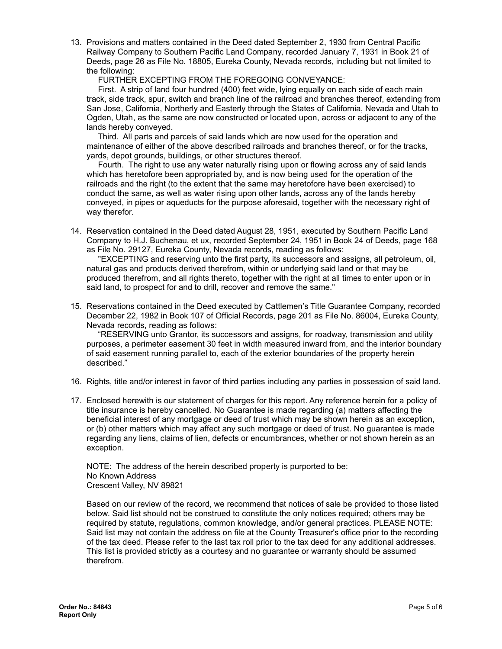13. Provisions and matters contained in the Deed dated September 2, 1930 from Central Pacific Railway Company to Southern Pacific Land Company, recorded January 7, 1931 in Book 21 of Deeds, page 26 as File No. 18805, Eureka County, Nevada records, including but not limited to the following:

FURTHER EXCEPTING FROM THE FOREGOING CONVEYANCE:

First. A strip of land four hundred (400) feet wide, lying equally on each side of each main track, side track, spur, switch and branch line of the railroad and branches thereof, extending from San Jose, California, Northerly and Easterly through the States of California, Nevada and Utah to Ogden, Utah, as the same are now constructed or located upon, across or adjacent to any of the lands hereby conveyed.

Third. All parts and parcels of said lands which are now used for the operation and maintenance of either of the above described railroads and branches thereof, or for the tracks, yards, depot grounds, buildings, or other structures thereof.

Fourth. The right to use any water naturally rising upon or flowing across any of said lands which has heretofore been appropriated by, and is now being used for the operation of the railroads and the right (to the extent that the same may heretofore have been exercised) to conduct the same, as well as water rising upon other lands, across any of the lands hereby conveyed, in pipes or aqueducts for the purpose aforesaid, together with the necessary right of way therefor.

14. Reservation contained in the Deed dated August 28, 1951, executed by Southern Pacific Land Company to H.J. Buchenau, et ux, recorded September 24, 1951 in Book 24 of Deeds, page 168 as File No. 29127, Eureka County, Nevada records, reading as follows:

"EXCEPTING and reserving unto the first party, its successors and assigns, all petroleum, oil, natural gas and products derived therefrom, within or underlying said land or that may be produced therefrom, and all rights thereto, together with the right at all times to enter upon or in said land, to prospect for and to drill, recover and remove the same."

15. Reservations contained in the Deed executed by Cattlemen's Title Guarantee Company, recorded December 22, 1982 in Book 107 of Official Records, page 201 as File No. 86004, Eureka County, Nevada records, reading as follows:

"RESERVING unto Grantor, its successors and assigns, for roadway, transmission and utility purposes, a perimeter easement 30 feet in width measured inward from, and the interior boundary of said easement running parallel to, each of the exterior boundaries of the property herein described."

- 16. Rights, title and/or interest in favor of third parties including any parties in possession of said land.
- 17. Enclosed herewith is our statement of charges for this report. Any reference herein for a policy of title insurance is hereby cancelled. No Guarantee is made regarding (a) matters affecting the beneficial interest of any mortgage or deed of trust which may be shown herein as an exception, or (b) other matters which may affect any such mortgage or deed of trust. No guarantee is made regarding any liens, claims of lien, defects or encumbrances, whether or not shown herein as an exception.

NOTE: The address of the herein described property is purported to be: No Known Address Crescent Valley, NV 89821

Based on our review of the record, we recommend that notices of sale be provided to those listed below. Said list should not be construed to constitute the only notices required; others may be required by statute, regulations, common knowledge, and/or general practices. PLEASE NOTE: Said list may not contain the address on file at the County Treasurer's office prior to the recording of the tax deed. Please refer to the last tax roll prior to the tax deed for any additional addresses. This list is provided strictly as a courtesy and no guarantee or warranty should be assumed therefrom.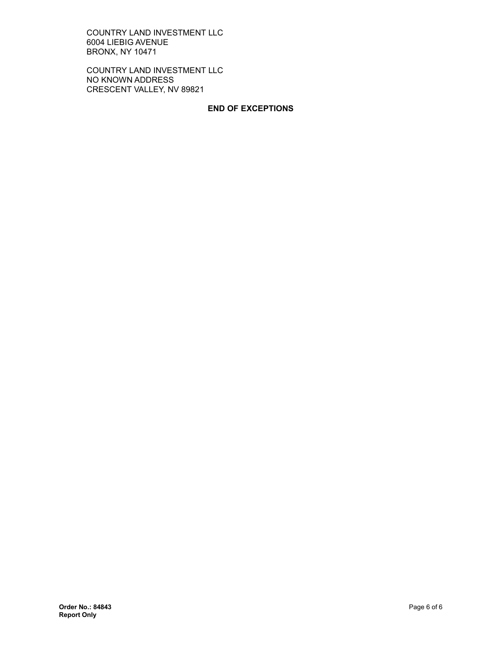COUNTRY LAND INVESTMENT LLC 6004 LIEBIG AVENUE BRONX, NY 10471

COUNTRY LAND INVESTMENT LLC NO KNOWN ADDRESS CRESCENT VALLEY, NV 89821

#### **END OF EXCEPTIONS**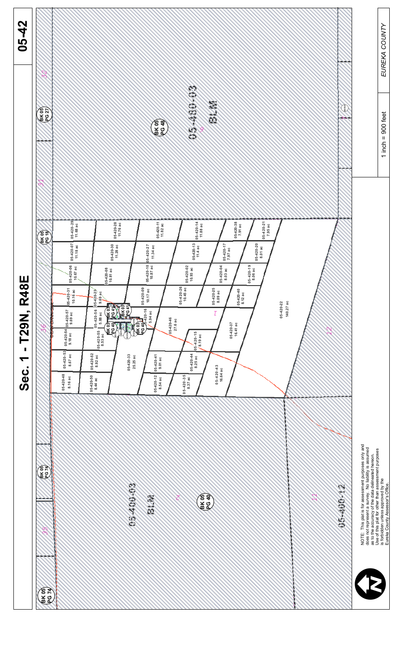